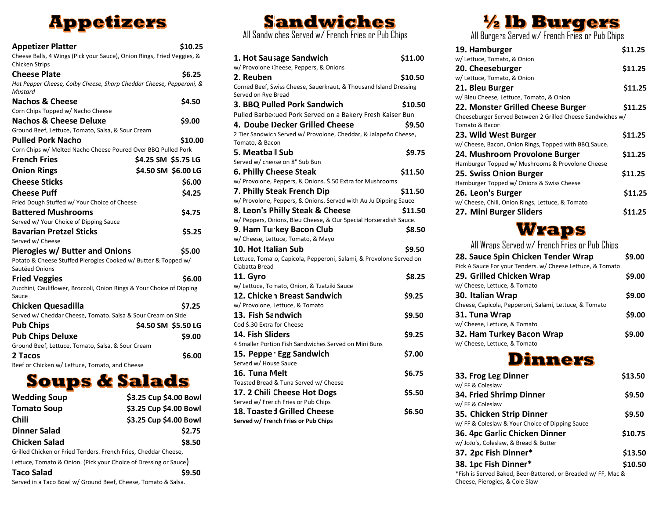# **Appetizers**

| <b>Appetizer Platter</b><br>Cheese Balls, 4 Wings (Pick your Sauce), Onion Rings, Fried Veggies, &<br>Chicken Strips | \$10.25             |  |
|----------------------------------------------------------------------------------------------------------------------|---------------------|--|
| <b>Cheese Plate</b>                                                                                                  | \$6.25              |  |
| Hot Pepper Cheese, Colby Cheese, Sharp Cheddar Cheese, Pepperoni, &                                                  |                     |  |
| Mustard                                                                                                              |                     |  |
| <b>Nachos &amp; Cheese</b>                                                                                           | \$4.50              |  |
| Corn Chips Topped w/ Nacho Cheese                                                                                    |                     |  |
| <b>Nachos &amp; Cheese Deluxe</b>                                                                                    | \$9.00              |  |
| Ground Beef, Lettuce, Tomato, Salsa, & Sour Cream                                                                    |                     |  |
| <b>Pulled Pork Nacho</b>                                                                                             | \$10.00             |  |
| Corn Chips w/ Melted Nacho Cheese Poured Over BBQ Pulled Pork                                                        |                     |  |
| <b>French Fries</b>                                                                                                  | \$4.25 SM \$5.75 LG |  |
| <b>Onion Rings</b>                                                                                                   | \$4.50 SM \$6.00 LG |  |
| <b>Cheese Sticks</b>                                                                                                 | \$6.00              |  |
| <b>Cheese Puff</b>                                                                                                   | \$4.25              |  |
| Fried Dough Stuffed w/ Your Choice of Cheese                                                                         |                     |  |
| <b>Battered Mushrooms</b>                                                                                            | \$4.75              |  |
| Served w/ Your Choice of Dipping Sauce                                                                               |                     |  |
| <b>Bavarian Pretzel Sticks</b>                                                                                       | \$5.25              |  |
| Served w/ Cheese                                                                                                     |                     |  |
| Pierogies w/ Butter and Onions                                                                                       | \$5.00              |  |
| Potato & Cheese Stuffed Pierogies Cooked w/ Butter & Topped w/<br>Sautéed Onions                                     |                     |  |
| <b>Fried Veggies</b>                                                                                                 | \$6.00              |  |
| Zucchini, Cauliflower, Broccoli, Onion Rings & Your Choice of Dipping<br>Sauce                                       |                     |  |
| <b>Chicken Quesadilla</b>                                                                                            | \$7.25              |  |
| Served w/ Cheddar Cheese, Tomato. Salsa & Sour Cream on Side                                                         |                     |  |
| <b>Pub Chips</b>                                                                                                     | \$4.50 SM \$5.50 LG |  |
| <b>Pub Chips Deluxe</b>                                                                                              | \$9.00              |  |
| Ground Beef, Lettuce, Tomato, Salsa, & Sour Cream                                                                    |                     |  |
| 2 Tacos                                                                                                              | \$6.00              |  |

Beef or Chicken w/ Lettuce, Tomato, and Cheese

# **Soups & Salads**

| <b>Wedding Soup</b> | \$3.25 Cup \$4.00 Bowl |
|---------------------|------------------------|
| <b>Tomato Soup</b>  | \$3.25 Cup \$4.00 Bowl |
| Chili               | \$3.25 Cup \$4.00 Bowl |
| <b>Dinner Salad</b> | \$2.75                 |
| Chicken Salad       | \$8.50                 |
|                     |                        |

Grilled Chicken or Fried Tenders. French Fries, Cheddar Cheese, Lettuce, Tomato & Onion. (Pick your Choice of Dressing or Sauce)

## **Taco Salad \$9.50**

Served in a Taco Bowl w/ Ground Beef, Cheese, Tomato & Salsa.

## Sandwiches Mandwiches All Sandwiches Served w/ French Fries or Pub Chips All Burgers Served w/ French Fries or Pub Chips **Sandwiches**

| 1. Hot Sausage Sandwich                                                             | \$11.00 |
|-------------------------------------------------------------------------------------|---------|
| w/ Provolone Cheese, Peppers, & Onions                                              |         |
| 2. Reuben                                                                           | \$10.50 |
| Corned Beef, Swiss Cheese, Sauerkraut, & Thousand Island Dressing                   |         |
| Served on Rye Bread                                                                 |         |
| 3. BBQ Pulled Pork Sandwich                                                         | \$10.50 |
| Pulled Barbecued Pork Served on a Bakery Fresh Kaiser Bun                           |         |
| 4. Doube Decker Grilled Cheese                                                      | \$9.50  |
| 2 Tier Sandwich Served w/ Provolone, Cheddar, & Jalapeño Cheese,<br>Tomato, & Bacon |         |
| 5. Meatball Sub                                                                     | \$9.75  |
| Served w/ cheese on 8" Sub Bun                                                      |         |
| 6. Philly Cheese Steak                                                              | \$11.50 |
| w/ Provolone, Peppers, & Onions. \$.50 Extra for Mushrooms                          |         |
| 7. Philly Steak French Dip                                                          | \$11.50 |
| w/ Provolone, Peppers, & Onions. Served with Au Ju Dipping Sauce                    |         |
| 8. Leon's Philly Steak & Cheese                                                     | \$11.50 |
| w/ Peppers, Onions, Bleu Cheese, & Our Special Horseradish Sauce.                   |         |
| 9. Ham Turkey Bacon Club                                                            | \$8.50  |
| w/ Cheese, Lettuce, Tomato, & Mayo                                                  |         |
| <b>10. Hot Italian Sub</b>                                                          | \$9.50  |
| Lettuce, Tomato, Capicola, Pepperoni, Salami, & Provolone Served on                 |         |
| Ciabatta Bread                                                                      |         |
| 11. Gyro                                                                            | \$8.25  |
| w/ Lettuce, Tomato, Onion, & Tzatziki Sauce                                         |         |
| 12. Chicken Breast Sandwich                                                         | \$9.25  |
| w/ Provolone, Lettuce, & Tomato                                                     |         |
| 13. Fish Sandwich                                                                   | \$9.50  |
| Cod \$.30 Extra for Cheese                                                          |         |
| 14. Fish Sliders                                                                    | \$9.25  |
| 4 Smaller Portion Fish Sandwiches Served on Mini Buns                               |         |
| 15. Pepper Egg Sandwich                                                             | \$7.00  |
| Served w/ House Sauce                                                               |         |
| 16. Tuna Melt                                                                       | \$6.75  |
| Toasted Bread & Tuna Served w/ Cheese                                               |         |
| 17. 2 Chili Cheese Hot Dogs                                                         | \$5.50  |
| Served w/ French Fries or Pub Chips                                                 |         |
| <b>18. Toasted Grilled Cheese</b>                                                   | \$6.50  |
| Served w/ French Fries or Pub Chips                                                 |         |

| 19. Hamburger                                                                | \$11.25 |
|------------------------------------------------------------------------------|---------|
| w/ Lettuce, Tomato, & Onion                                                  |         |
| 20. Cheeseburger                                                             | \$11.25 |
| w/ Lettuce, Tomato, & Onion                                                  |         |
| 21. Bleu Burger                                                              | \$11.25 |
| w/ Bleu Cheese, Lettuce, Tomato, & Onion                                     |         |
| 22. Monster Grilled Cheese Burger                                            | \$11.25 |
| Cheeseburger Served Between 2 Grilled Cheese Sandwiches w/<br>Tomato & Bacon |         |
| 23. Wild West Burger                                                         | \$11.25 |
| w/ Cheese, Bacon, Onion Rings, Topped with BBQ Sauce.                        |         |
| 24. Mushroom Provolone Burger                                                | \$11.25 |
| Hamburger Topped w/ Mushrooms & Provolone Cheese                             |         |
| 25. Swiss Onion Burger                                                       | \$11.25 |
| Hamburger Topped w/ Onions & Swiss Cheese                                    |         |
| 26. Leon's Burger                                                            | \$11.25 |
| w/ Cheese, Chili, Onion Rings, Lettuce, & Tomato                             |         |
| 27. Mini Burger Sliders                                                      | \$11.25 |
|                                                                              |         |

## Wraps

| All Wraps Served w/ French Fries or Pub Chips              |        |
|------------------------------------------------------------|--------|
| 28. Sauce Spin Chicken Tender Wrap                         | \$9.00 |
| Pick A Sauce For your Tenders. w/ Cheese Lettuce, & Tomato |        |
| 29. Grilled Chicken Wrap                                   | \$9.00 |
| w/ Cheese, Lettuce, & Tomato                               |        |
| 30. Italian Wrap                                           | \$9.00 |
| Cheese, Capicola, Pepperoni, Salami, Lettuce, & Tomato     |        |
| 31. Tuna Wrap                                              | \$9.00 |
| w/ Cheese, Lettuce, & Tomato                               |        |
| 32. Ham Turkey Bacon Wrap                                  | \$9.00 |
| w/ Cheese, Lettuce, & Tomato                               |        |
|                                                            |        |

## **Dinners**

| 33. Frog Leg Dinner                                                                             | \$13.50 |
|-------------------------------------------------------------------------------------------------|---------|
| w/ FF & Coleslaw<br>34. Fried Shrimp Dinner<br>w/ FF & Coleslaw                                 | \$9.50  |
| 35. Chicken Strip Dinner                                                                        | \$9.50  |
| w/ FF & Coleslaw & Your Choice of Dipping Sauce<br>36. 4pc Garlic Chicken Dinner                | \$10.75 |
| w/JoJo's, Coleslaw, & Bread & Butter<br>37. 2pc Fish Dinner*                                    | \$13.50 |
| 38. 1pc Fish Dinner*                                                                            | \$10.50 |
| *Fish is Served Baked, Beer-Battered, or Breaded w/ FF, Mac &<br>Cheese, Pierogies, & Cole Slaw |         |